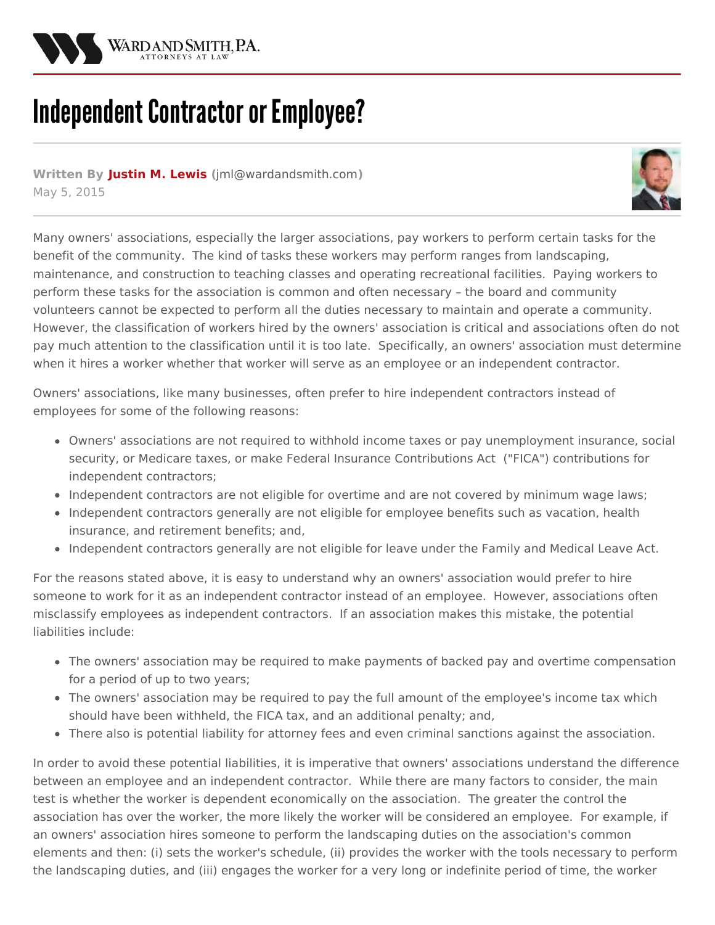

## **Independent Contractor or Employee?**

**Written By [Justin](/attorneys/justin-lewis) M. Lewis (**[jml@wardandsmith.com](mailto:jml@wardandsmith.com)**)** May 5, 2015



Many owners' [associations](http://www.wardandsmith.com/practices/community-associations), especially the larger associations, pay workers to perform certain tasks for the benefit of the community. The kind of tasks these workers may perform ranges from landscaping, maintenance, and construction to teaching classes and operating recreational facilities. Paying workers to perform these tasks for the association is common and often necessary – the board and community volunteers cannot be expected to perform all the duties necessary to maintain and operate a community. However, the classification of workers hired by the owners' association is critical and associations often do not pay much attention to the classification until it is too late. Specifically, an owners' association must determine when it hires a worker whether that worker will serve as an employee or an independent contractor.

Owners' associations, like many businesses, often prefer to hire independent contractors instead of employees for some of the following reasons:

- Owners' associations are not required to withhold income taxes or pay unemployment insurance, social security, or Medicare taxes, or make Federal Insurance Contributions Act ("FICA") contributions for independent contractors;
- Independent contractors are not eligible for overtime and are not covered by minimum wage laws;
- Independent contractors generally are not eligible for employee benefits such as vacation, health insurance, and retirement benefits; and,
- Independent contractors generally are not eligible for leave under the Family and Medical Leave Act.

For the reasons stated above, it is easy to understand why an owners' association would prefer to hire someone to work for it as an independent contractor instead of an employee. However, associations often misclassify employees as independent contractors. If an association makes this mistake, the potential liabilities include:

- The owners' association may be required to make payments of backed pay and overtime compensation for a period of up to two years;
- The owners' association may be required to pay the full amount of the employee's income tax which should have been withheld, the FICA tax, and an additional penalty; and,
- There also is potential liability for attorney fees and even criminal sanctions against the association.

In order to avoid these potential liabilities, it is imperative that owners' associations understand the difference between an employee and an independent contractor. While there are many factors to consider, the main test is whether the worker is dependent economically on the association. The greater the control the association has over the worker, the more likely the worker will be considered an employee. For example, if an owners' association hires someone to perform the landscaping duties on the association's common elements and then: (i) sets the worker's schedule, (ii) provides the worker with the tools necessary to perform the landscaping duties, and (iii) engages the worker for a very long or indefinite period of time, the worker